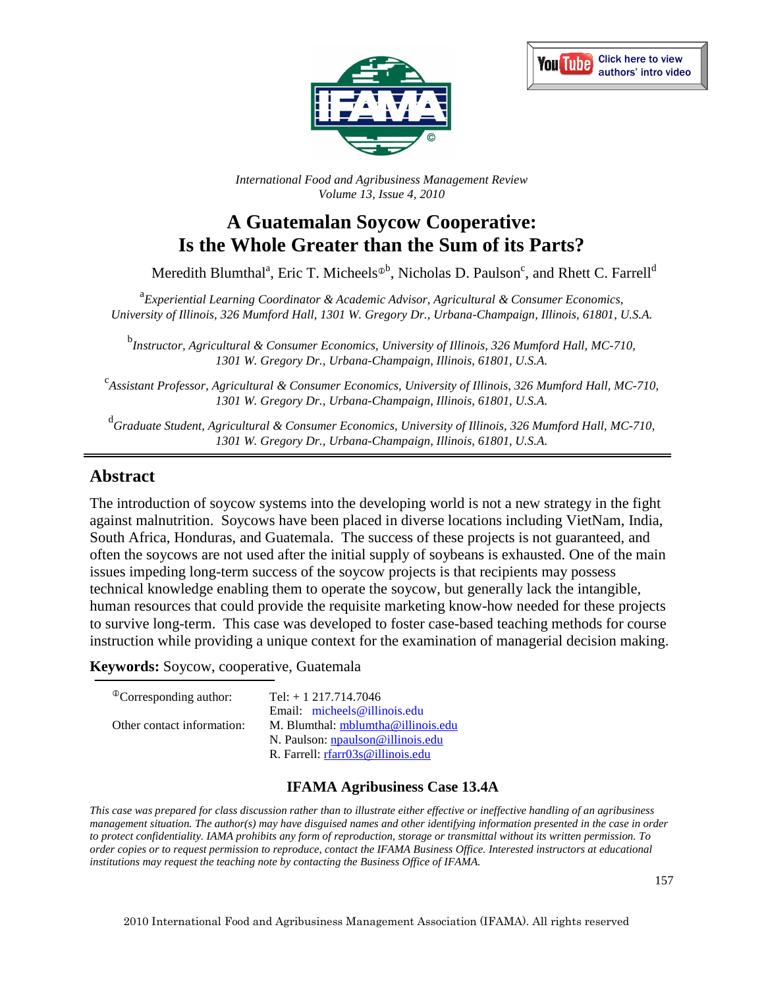



*International Food and Agribusiness Management Review Volume 13, Issue 4, 2010*

# **A Guatemalan Soycow Cooperative: Is the Whole Greater than the Sum of its Parts?**

Meredith Blumthal<sup>a</sup>, Eric T. Micheels<sup> $\Phi$ b</sup>, Nicholas D. Paulson<sup>c</sup>, and Rhett C. Farrell<sup>d</sup>

<sup>a</sup> Experiential Learning Coordinator & Academic Advisor, Agricultural & Consumer Economics, *University of Illinois, 326 Mumford Hall, 1301 W. Gregory Dr., Urbana-Champaign, Illinois, 61801, U.S.A.*

b *Instructor, Agricultural & Consumer Economics, University of Illinois, 326 Mumford Hall, MC-710, 1301 W. Gregory Dr., Urbana-Champaign, Illinois, 61801, U.S.A.*

c *Assistant Professor, Agricultural & Consumer Economics, University of Illinois, 326 Mumford Hall, MC-710, 1301 W. Gregory Dr., Urbana-Champaign, Illinois, 61801, U.S.A.*

d *Graduate Student, Agricultural & Consumer Economics, University of Illinois, 326 Mumford Hall, MC-710, 1301 W. Gregory Dr., Urbana-Champaign, Illinois, 61801, U.S.A.*

### **Abstract**

The introduction of soycow systems into the developing world is not a new strategy in the fight against malnutrition. Soycows have been placed in diverse locations including VietNam, India, South Africa, Honduras, and Guatemala. The success of these projects is not guaranteed, and often the soycows are not used after the initial supply of soybeans is exhausted. One of the main issues impeding long-term success of the soycow projects is that recipients may possess technical knowledge enabling them to operate the soycow, but generally lack the intangible, human resources that could provide the requisite marketing know-how needed for these projects to survive long-term. This case was developed to foster case-based teaching methods for course instruction while providing a unique context for the examination of managerial decision making.

**Keywords:** Soycow, cooperative, Guatemala

| Tel: $+ 1217.714.7046$             |
|------------------------------------|
| Email: $micheels@illinois.edu$     |
| M. Blumthal: mblumtha@illinois.edu |
| N. Paulson: npaulson@illinois.edu  |
| R. Farrell: rfarr03s@illinois.edu  |
|                                    |

### **IFAMA Agribusiness Case 13.4A**

*This case was prepared for class discussion rather than to illustrate either effective or ineffective handling of an agribusiness management situation. The author(s) may have disguised names and other identifying information presented in the case in order to protect confidentiality. IAMA prohibits any form of reproduction, storage or transmittal without its written permission. To order copies or to request permission to reproduce, contact the IFAMA Business Office. Interested instructors at educational institutions may request the teaching note by contacting the Business Office of IFAMA.* 

157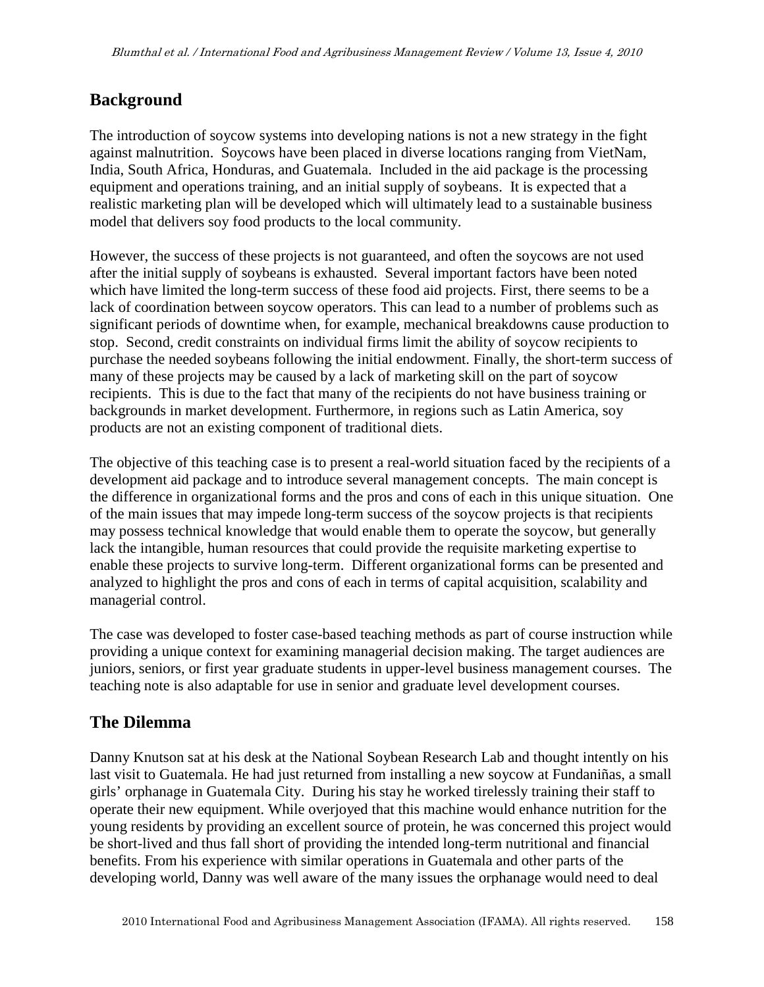### **Background**

The introduction of soycow systems into developing nations is not a new strategy in the fight against malnutrition. Soycows have been placed in diverse locations ranging from VietNam, India, South Africa, Honduras, and Guatemala. Included in the aid package is the processing equipment and operations training, and an initial supply of soybeans. It is expected that a realistic marketing plan will be developed which will ultimately lead to a sustainable business model that delivers soy food products to the local community.

However, the success of these projects is not guaranteed, and often the soycows are not used after the initial supply of soybeans is exhausted. Several important factors have been noted which have limited the long-term success of these food aid projects. First, there seems to be a lack of coordination between soycow operators. This can lead to a number of problems such as significant periods of downtime when, for example, mechanical breakdowns cause production to stop. Second, credit constraints on individual firms limit the ability of soycow recipients to purchase the needed soybeans following the initial endowment. Finally, the short-term success of many of these projects may be caused by a lack of marketing skill on the part of soycow recipients. This is due to the fact that many of the recipients do not have business training or backgrounds in market development. Furthermore, in regions such as Latin America, soy products are not an existing component of traditional diets.

The objective of this teaching case is to present a real-world situation faced by the recipients of a development aid package and to introduce several management concepts. The main concept is the difference in organizational forms and the pros and cons of each in this unique situation. One of the main issues that may impede long-term success of the soycow projects is that recipients may possess technical knowledge that would enable them to operate the soycow, but generally lack the intangible, human resources that could provide the requisite marketing expertise to enable these projects to survive long-term. Different organizational forms can be presented and analyzed to highlight the pros and cons of each in terms of capital acquisition, scalability and managerial control.

The case was developed to foster case-based teaching methods as part of course instruction while providing a unique context for examining managerial decision making. The target audiences are juniors, seniors, or first year graduate students in upper-level business management courses. The teaching note is also adaptable for use in senior and graduate level development courses.

### **The Dilemma**

Danny Knutson sat at his desk at the National Soybean Research Lab and thought intently on his last visit to Guatemala. He had just returned from installing a new soycow at Fundaniñas, a small girls' orphanage in Guatemala City. During his stay he worked tirelessly training their staff to operate their new equipment. While overjoyed that this machine would enhance nutrition for the young residents by providing an excellent source of protein, he was concerned this project would be short-lived and thus fall short of providing the intended long-term nutritional and financial benefits. From his experience with similar operations in Guatemala and other parts of the developing world, Danny was well aware of the many issues the orphanage would need to deal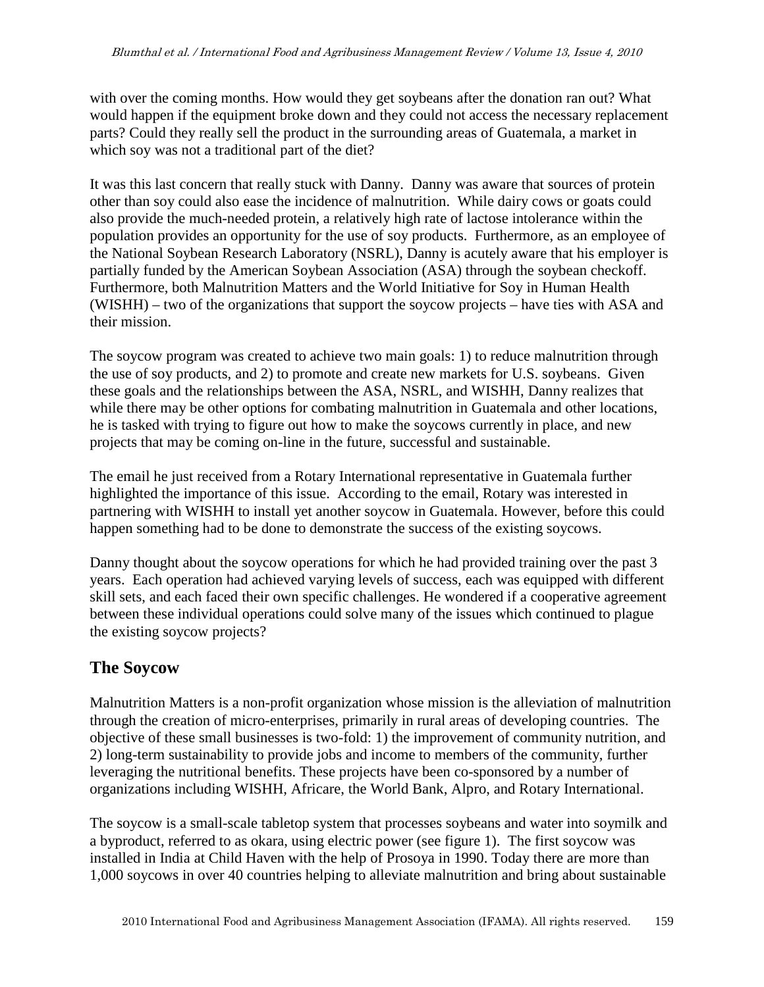with over the coming months. How would they get soybeans after the donation ran out? What would happen if the equipment broke down and they could not access the necessary replacement parts? Could they really sell the product in the surrounding areas of Guatemala, a market in which soy was not a traditional part of the diet?

It was this last concern that really stuck with Danny. Danny was aware that sources of protein other than soy could also ease the incidence of malnutrition. While dairy cows or goats could also provide the much-needed protein, a relatively high rate of lactose intolerance within the population provides an opportunity for the use of soy products. Furthermore, as an employee of the National Soybean Research Laboratory (NSRL), Danny is acutely aware that his employer is partially funded by the American Soybean Association (ASA) through the soybean checkoff. Furthermore, both Malnutrition Matters and the World Initiative for Soy in Human Health (WISHH) – two of the organizations that support the soycow projects – have ties with ASA and their mission.

The soycow program was created to achieve two main goals: 1) to reduce malnutrition through the use of soy products, and 2) to promote and create new markets for U.S. soybeans. Given these goals and the relationships between the ASA, NSRL, and WISHH, Danny realizes that while there may be other options for combating malnutrition in Guatemala and other locations, he is tasked with trying to figure out how to make the soycows currently in place, and new projects that may be coming on-line in the future, successful and sustainable.

The email he just received from a Rotary International representative in Guatemala further highlighted the importance of this issue. According to the email, Rotary was interested in partnering with WISHH to install yet another soycow in Guatemala. However, before this could happen something had to be done to demonstrate the success of the existing soycows.

Danny thought about the soycow operations for which he had provided training over the past 3 years. Each operation had achieved varying levels of success, each was equipped with different skill sets, and each faced their own specific challenges. He wondered if a cooperative agreement between these individual operations could solve many of the issues which continued to plague the existing soycow projects?

### **The Soycow**

Malnutrition Matters is a non-profit organization whose mission is the alleviation of malnutrition through the creation of micro-enterprises, primarily in rural areas of developing countries. The objective of these small businesses is two-fold: 1) the improvement of community nutrition, and 2) long-term sustainability to provide jobs and income to members of the community, further leveraging the nutritional benefits. These projects have been co-sponsored by a number of organizations including WISHH, Africare, the World Bank, Alpro, and Rotary International.

The soycow is a small-scale tabletop system that processes soybeans and water into soymilk and a byproduct, referred to as okara, using electric power (see figure 1). The first soycow was installed in India at Child Haven with the help of Prosoya in 1990. Today there are more than 1,000 soycows in over 40 countries helping to alleviate malnutrition and bring about sustainable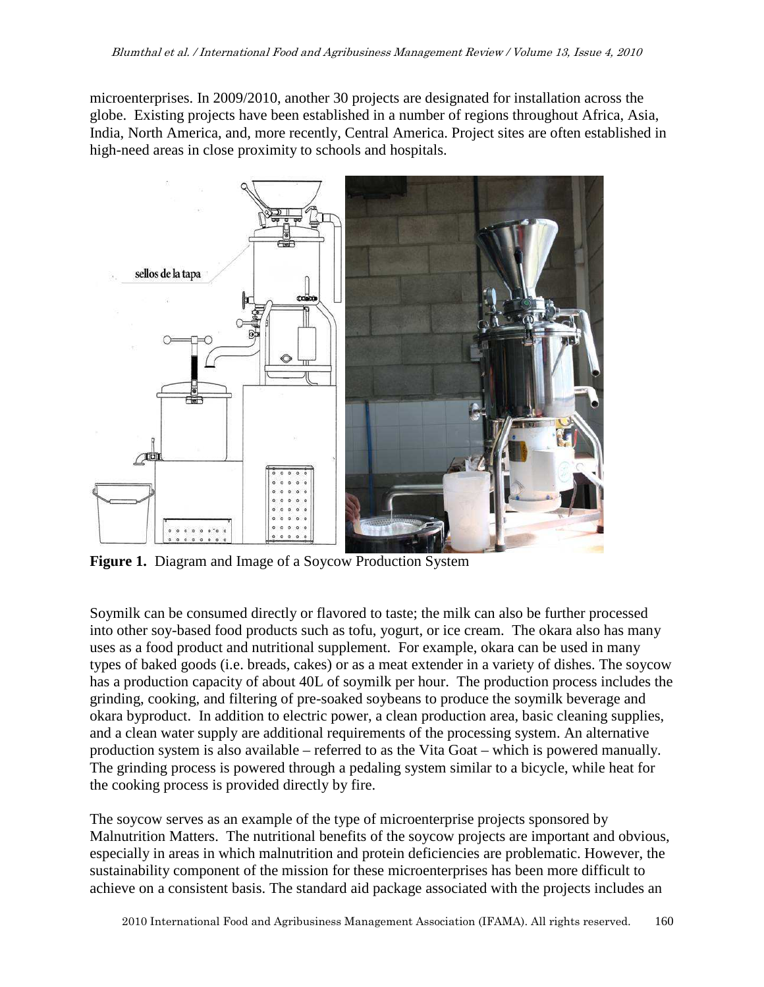microenterprises. In 2009/2010, another 30 projects are designated for installation across the globe. Existing projects have been established in a number of regions throughout Africa, Asia, India, North America, and, more recently, Central America. Project sites are often established in high-need areas in close proximity to schools and hospitals.



**Figure 1.** Diagram and Image of a Soycow Production System

Soymilk can be consumed directly or flavored to taste; the milk can also be further processed into other soy-based food products such as tofu, yogurt, or ice cream. The okara also has many uses as a food product and nutritional supplement. For example, okara can be used in many types of baked goods (i.e. breads, cakes) or as a meat extender in a variety of dishes. The soycow has a production capacity of about 40L of soymilk per hour. The production process includes the grinding, cooking, and filtering of pre-soaked soybeans to produce the soymilk beverage and okara byproduct. In addition to electric power, a clean production area, basic cleaning supplies, and a clean water supply are additional requirements of the processing system. An alternative production system is also available – referred to as the Vita Goat – which is powered manually. The grinding process is powered through a pedaling system similar to a bicycle, while heat for the cooking process is provided directly by fire.

The soycow serves as an example of the type of microenterprise projects sponsored by Malnutrition Matters. The nutritional benefits of the soycow projects are important and obvious, especially in areas in which malnutrition and protein deficiencies are problematic. However, the sustainability component of the mission for these microenterprises has been more difficult to achieve on a consistent basis. The standard aid package associated with the projects includes an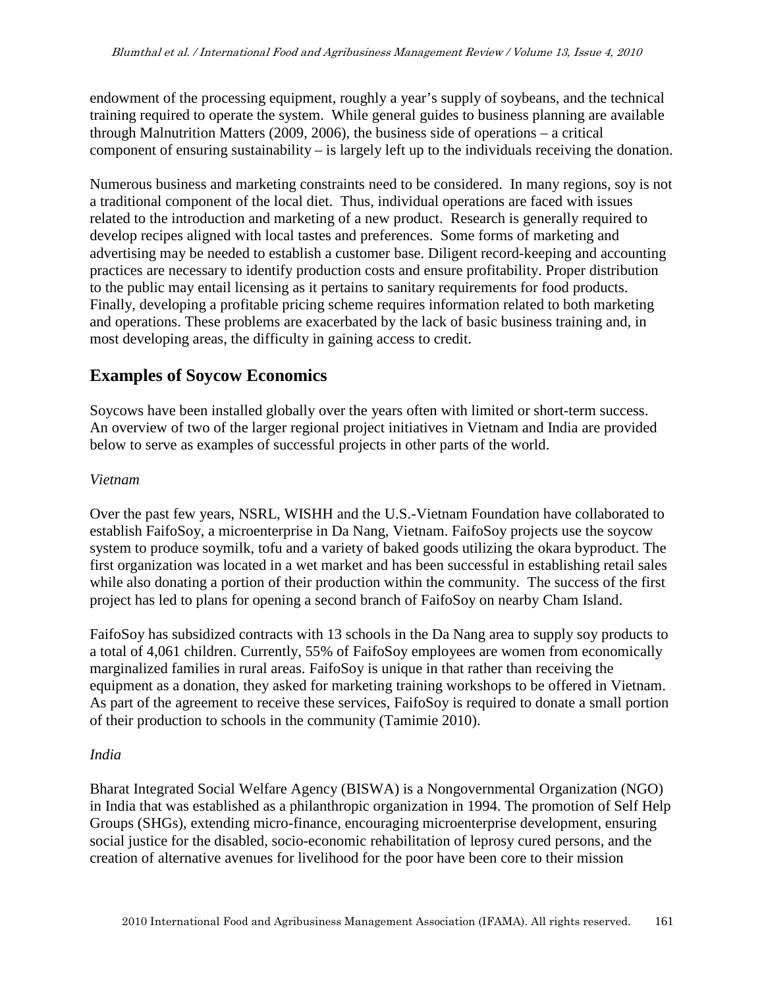endowment of the processing equipment, roughly a year's supply of soybeans, and the technical training required to operate the system. While general guides to business planning are available through Malnutrition Matters (2009, 2006), the business side of operations – a critical component of ensuring sustainability – is largely left up to the individuals receiving the donation.

Numerous business and marketing constraints need to be considered. In many regions, soy is not a traditional component of the local diet. Thus, individual operations are faced with issues related to the introduction and marketing of a new product. Research is generally required to develop recipes aligned with local tastes and preferences. Some forms of marketing and advertising may be needed to establish a customer base. Diligent record-keeping and accounting practices are necessary to identify production costs and ensure profitability. Proper distribution to the public may entail licensing as it pertains to sanitary requirements for food products. Finally, developing a profitable pricing scheme requires information related to both marketing and operations. These problems are exacerbated by the lack of basic business training and, in most developing areas, the difficulty in gaining access to credit.

### **Examples of Soycow Economics**

Soycows have been installed globally over the years often with limited or short-term success. An overview of two of the larger regional project initiatives in Vietnam and India are provided below to serve as examples of successful projects in other parts of the world.

### *Vietnam*

Over the past few years, NSRL, WISHH and the U.S.-Vietnam Foundation have collaborated to establish FaifoSoy, a microenterprise in Da Nang, Vietnam. FaifoSoy projects use the soycow system to produce soymilk, tofu and a variety of baked goods utilizing the okara byproduct. The first organization was located in a wet market and has been successful in establishing retail sales while also donating a portion of their production within the community. The success of the first project has led to plans for opening a second branch of FaifoSoy on nearby Cham Island.

FaifoSoy has subsidized contracts with 13 schools in the Da Nang area to supply soy products to a total of 4,061 children. Currently, 55% of FaifoSoy employees are women from economically marginalized families in rural areas. FaifoSoy is unique in that rather than receiving the equipment as a donation, they asked for marketing training workshops to be offered in Vietnam. As part of the agreement to receive these services, FaifoSoy is required to donate a small portion of their production to schools in the community (Tamimie 2010).

### *India*

Bharat Integrated Social Welfare Agency (BISWA) is a Nongovernmental Organization (NGO) in India that was established as a philanthropic organization in 1994. The promotion of Self Help Groups (SHGs), extending micro-finance, encouraging microenterprise development, ensuring social justice for the disabled, socio-economic rehabilitation of leprosy cured persons, and the creation of alternative avenues for livelihood for the poor have been core to their mission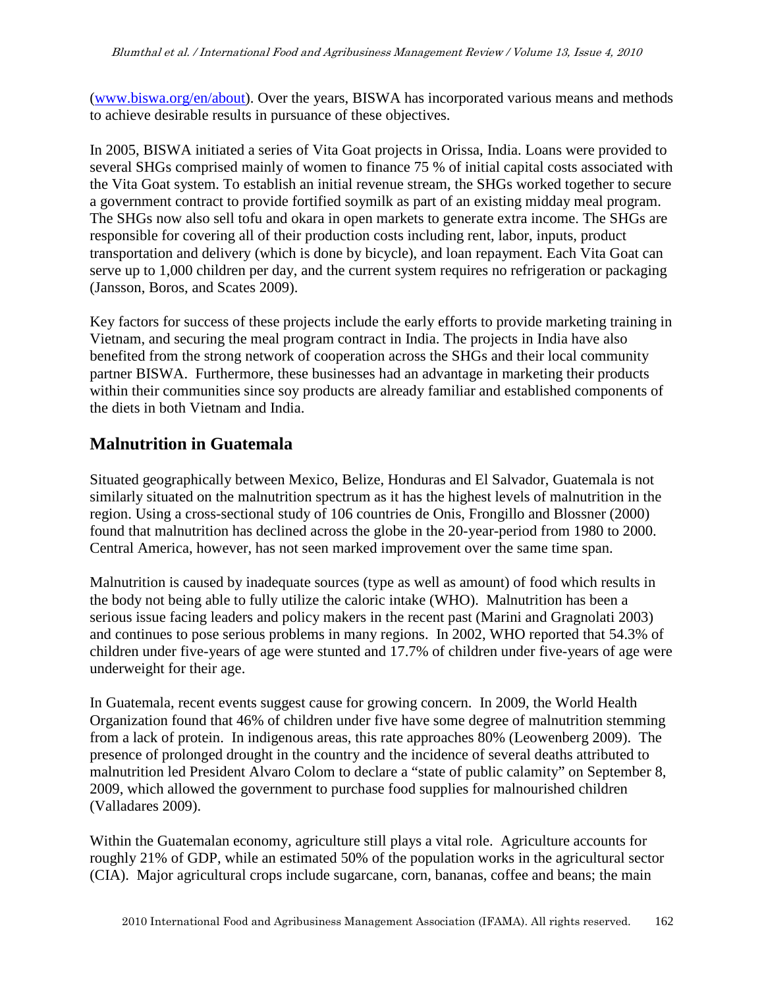(www.biswa.org/en/about). Over the years, BISWA has incorporated various means and methods to achieve desirable results in pursuance of these objectives.

In 2005, BISWA initiated a series of Vita Goat projects in Orissa, India. Loans were provided to several SHGs comprised mainly of women to finance 75 % of initial capital costs associated with the Vita Goat system. To establish an initial revenue stream, the SHGs worked together to secure a government contract to provide fortified soymilk as part of an existing midday meal program. The SHGs now also sell tofu and okara in open markets to generate extra income. The SHGs are responsible for covering all of their production costs including rent, labor, inputs, product transportation and delivery (which is done by bicycle), and loan repayment. Each Vita Goat can serve up to 1,000 children per day, and the current system requires no refrigeration or packaging (Jansson, Boros, and Scates 2009).

Key factors for success of these projects include the early efforts to provide marketing training in Vietnam, and securing the meal program contract in India. The projects in India have also benefited from the strong network of cooperation across the SHGs and their local community partner BISWA. Furthermore, these businesses had an advantage in marketing their products within their communities since soy products are already familiar and established components of the diets in both Vietnam and India.

### **Malnutrition in Guatemala**

Situated geographically between Mexico, Belize, Honduras and El Salvador, Guatemala is not similarly situated on the malnutrition spectrum as it has the highest levels of malnutrition in the region. Using a cross-sectional study of 106 countries de Onis, Frongillo and Blossner (2000) found that malnutrition has declined across the globe in the 20-year-period from 1980 to 2000. Central America, however, has not seen marked improvement over the same time span.

Malnutrition is caused by inadequate sources (type as well as amount) of food which results in the body not being able to fully utilize the caloric intake (WHO). Malnutrition has been a serious issue facing leaders and policy makers in the recent past (Marini and Gragnolati 2003) and continues to pose serious problems in many regions. In 2002, WHO reported that 54.3% of children under five-years of age were stunted and 17.7% of children under five-years of age were underweight for their age.

In Guatemala, recent events suggest cause for growing concern. In 2009, the World Health Organization found that 46% of children under five have some degree of malnutrition stemming from a lack of protein. In indigenous areas, this rate approaches 80% (Leowenberg 2009). The presence of prolonged drought in the country and the incidence of several deaths attributed to malnutrition led President Alvaro Colom to declare a "state of public calamity" on September 8, 2009, which allowed the government to purchase food supplies for malnourished children (Valladares 2009).

Within the Guatemalan economy, agriculture still plays a vital role. Agriculture accounts for roughly 21% of GDP, while an estimated 50% of the population works in the agricultural sector (CIA). Major agricultural crops include sugarcane, corn, bananas, coffee and beans; the main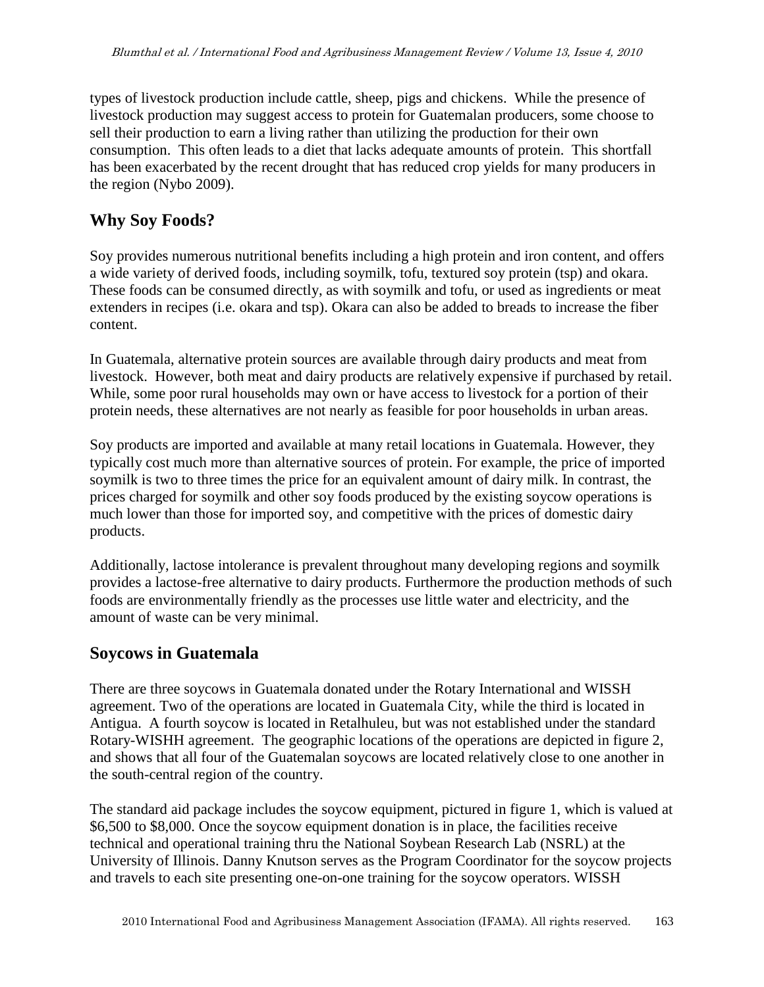types of livestock production include cattle, sheep, pigs and chickens. While the presence of livestock production may suggest access to protein for Guatemalan producers, some choose to sell their production to earn a living rather than utilizing the production for their own consumption. This often leads to a diet that lacks adequate amounts of protein. This shortfall has been exacerbated by the recent drought that has reduced crop yields for many producers in the region (Nybo 2009).

### **Why Soy Foods?**

Soy provides numerous nutritional benefits including a high protein and iron content, and offers a wide variety of derived foods, including soymilk, tofu, textured soy protein (tsp) and okara. These foods can be consumed directly, as with soymilk and tofu, or used as ingredients or meat extenders in recipes (i.e. okara and tsp). Okara can also be added to breads to increase the fiber content.

In Guatemala, alternative protein sources are available through dairy products and meat from livestock. However, both meat and dairy products are relatively expensive if purchased by retail. While, some poor rural households may own or have access to livestock for a portion of their protein needs, these alternatives are not nearly as feasible for poor households in urban areas.

Soy products are imported and available at many retail locations in Guatemala. However, they typically cost much more than alternative sources of protein. For example, the price of imported soymilk is two to three times the price for an equivalent amount of dairy milk. In contrast, the prices charged for soymilk and other soy foods produced by the existing soycow operations is much lower than those for imported soy, and competitive with the prices of domestic dairy products.

Additionally, lactose intolerance is prevalent throughout many developing regions and soymilk provides a lactose-free alternative to dairy products. Furthermore the production methods of such foods are environmentally friendly as the processes use little water and electricity, and the amount of waste can be very minimal.

## **Soycows in Guatemala**

There are three soycows in Guatemala donated under the Rotary International and WISSH agreement. Two of the operations are located in Guatemala City, while the third is located in Antigua. A fourth soycow is located in Retalhuleu, but was not established under the standard Rotary-WISHH agreement. The geographic locations of the operations are depicted in figure 2, and shows that all four of the Guatemalan soycows are located relatively close to one another in the south-central region of the country.

The standard aid package includes the soycow equipment, pictured in figure 1, which is valued at \$6,500 to \$8,000. Once the soycow equipment donation is in place, the facilities receive technical and operational training thru the National Soybean Research Lab (NSRL) at the University of Illinois. Danny Knutson serves as the Program Coordinator for the soycow projects and travels to each site presenting one-on-one training for the soycow operators. WISSH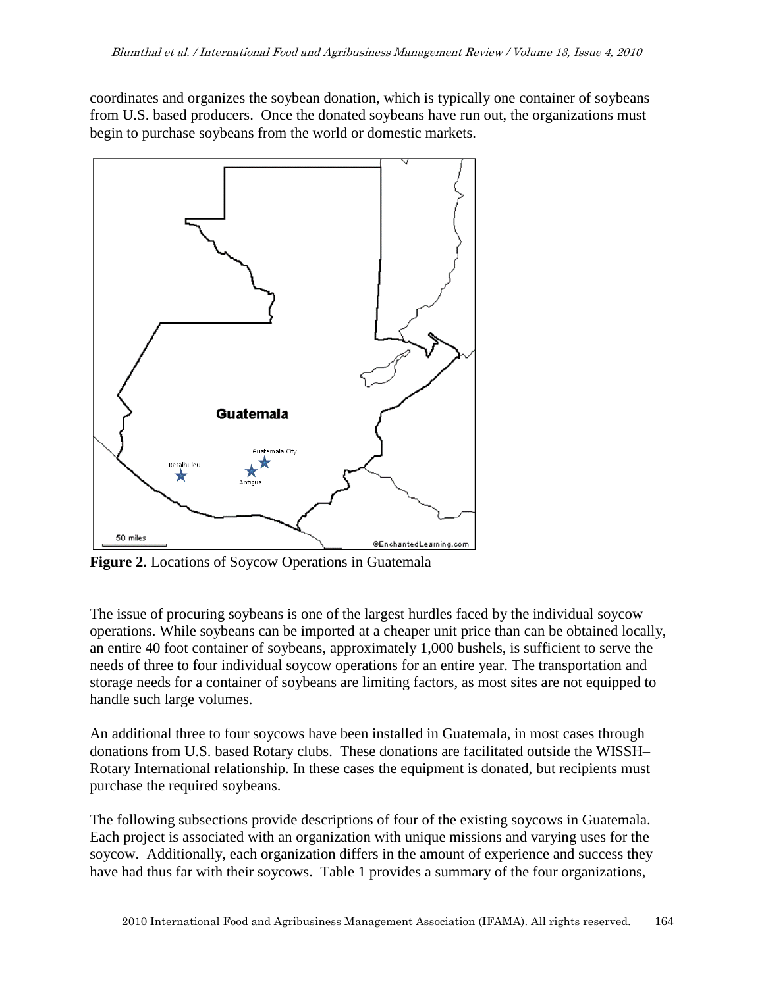coordinates and organizes the soybean donation, which is typically one container of soybeans from U.S. based producers. Once the donated soybeans have run out, the organizations must begin to purchase soybeans from the world or domestic markets.



**Figure 2.** Locations of Soycow Operations in Guatemala

The issue of procuring soybeans is one of the largest hurdles faced by the individual soycow operations. While soybeans can be imported at a cheaper unit price than can be obtained locally, an entire 40 foot container of soybeans, approximately 1,000 bushels, is sufficient to serve the needs of three to four individual soycow operations for an entire year. The transportation and storage needs for a container of soybeans are limiting factors, as most sites are not equipped to handle such large volumes.

An additional three to four soycows have been installed in Guatemala, in most cases through donations from U.S. based Rotary clubs. These donations are facilitated outside the WISSH– Rotary International relationship. In these cases the equipment is donated, but recipients must purchase the required soybeans.

The following subsections provide descriptions of four of the existing soycows in Guatemala. Each project is associated with an organization with unique missions and varying uses for the soycow. Additionally, each organization differs in the amount of experience and success they have had thus far with their soycows. Table 1 provides a summary of the four organizations,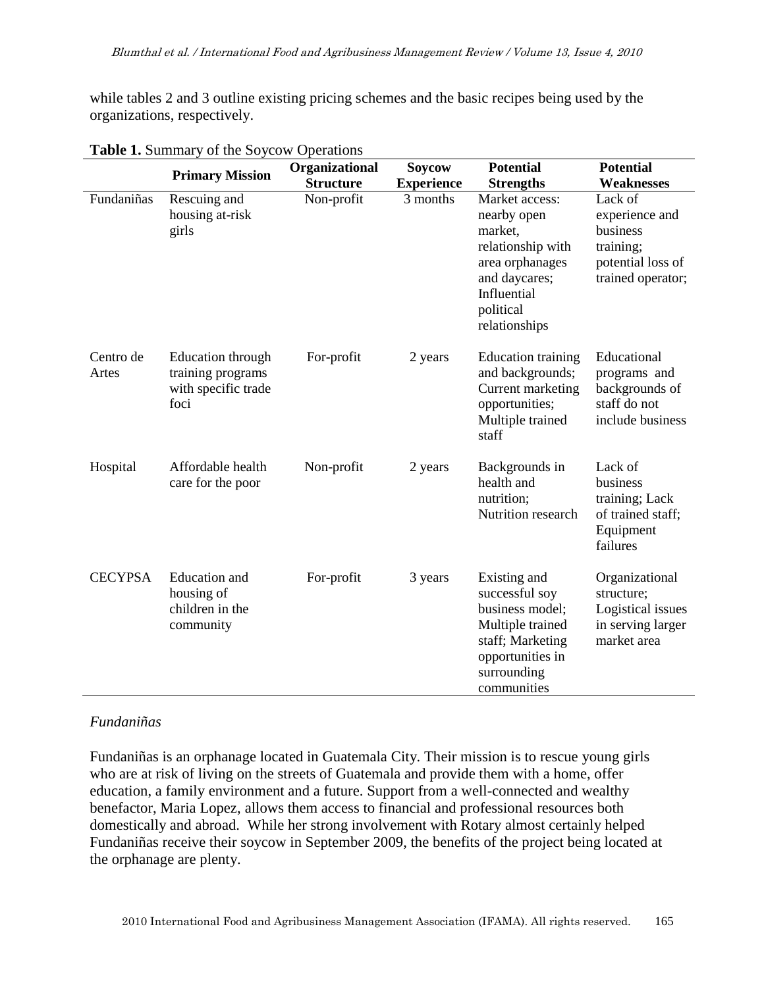while tables 2 and 3 outline existing pricing schemes and the basic recipes being used by the organizations, respectively.

|                    | <b>Primary Mission</b>                                                | Organizational<br><b>Soycow</b> |                   | <b>Potential</b>                                                                                                                               | <b>Potential</b>                                                                             |  |
|--------------------|-----------------------------------------------------------------------|---------------------------------|-------------------|------------------------------------------------------------------------------------------------------------------------------------------------|----------------------------------------------------------------------------------------------|--|
|                    |                                                                       | <b>Structure</b>                | <b>Experience</b> | <b>Strengths</b>                                                                                                                               | Weaknesses                                                                                   |  |
| Fundaniñas         | Rescuing and<br>housing at-risk<br>girls                              | Non-profit                      | 3 months          | Market access:<br>nearby open<br>market,<br>relationship with<br>area orphanages<br>and daycares;<br>Influential<br>political<br>relationships | Lack of<br>experience and<br>business<br>training;<br>potential loss of<br>trained operator; |  |
| Centro de<br>Artes | Education through<br>training programs<br>with specific trade<br>foci | For-profit                      | 2 years           | <b>Education training</b><br>and backgrounds;<br>Current marketing<br>opportunities;<br>Multiple trained<br>staff                              | Educational<br>programs and<br>backgrounds of<br>staff do not<br>include business            |  |
| Hospital           | Affordable health<br>care for the poor                                | Non-profit                      | 2 years           | Backgrounds in<br>health and<br>nutrition;<br>Nutrition research                                                                               | Lack of<br>business<br>training; Lack<br>of trained staff;<br>Equipment<br>failures          |  |
| <b>CECYPSA</b>     | <b>Education</b> and<br>housing of<br>children in the<br>community    | For-profit                      | 3 years           | Existing and<br>successful soy<br>business model;<br>Multiple trained<br>staff; Marketing<br>opportunities in<br>surrounding<br>communities    | Organizational<br>structure;<br>Logistical issues<br>in serving larger<br>market area        |  |

#### **Table 1.** Summary of the Soycow Operations

#### *Fundaniñas*

Fundaniñas is an orphanage located in Guatemala City. Their mission is to rescue young girls who are at risk of living on the streets of Guatemala and provide them with a home, offer education, a family environment and a future. Support from a well-connected and wealthy benefactor, Maria Lopez, allows them access to financial and professional resources both domestically and abroad. While her strong involvement with Rotary almost certainly helped Fundaniñas receive their soycow in September 2009, the benefits of the project being located at the orphanage are plenty.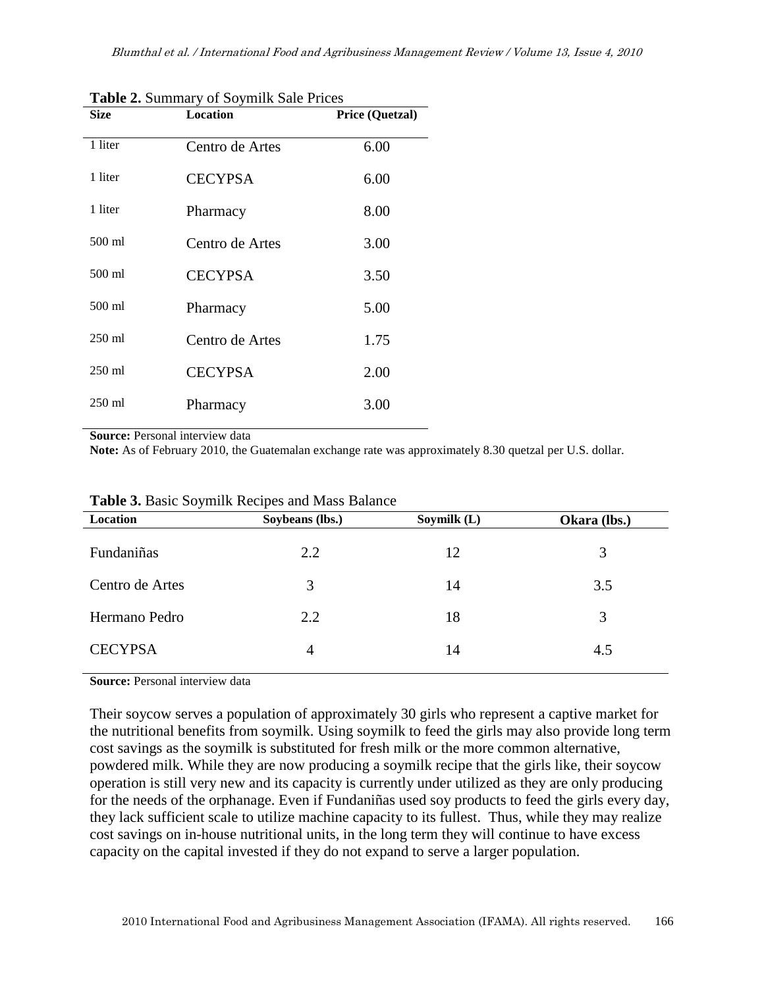| <b>Size</b> | Location        | <b>Price (Quetzal)</b> |
|-------------|-----------------|------------------------|
| 1 liter     | Centro de Artes | 6.00                   |
| 1 liter     | <b>CECYPSA</b>  | 6.00                   |
| 1 liter     | Pharmacy        | 8.00                   |
| 500 ml      | Centro de Artes | 3.00                   |
| 500 ml      | <b>CECYPSA</b>  | 3.50                   |
| 500 ml      | Pharmacy        | 5.00                   |
| $250$ ml    | Centro de Artes | 1.75                   |
| $250$ ml    | <b>CECYPSA</b>  | 2.00                   |
| $250$ ml    | Pharmacy        | 3.00                   |

**Table 2.** Summary of Soymilk Sale Prices

**Source:** Personal interview data

**Note:** As of February 2010, the Guatemalan exchange rate was approximately 8.30 quetzal per U.S. dollar.

| Location        | Soybeans (lbs.) | Soymilk (L) | Okara (lbs.) |  |
|-----------------|-----------------|-------------|--------------|--|
| Fundaniñas      | 2.2             | 12          | 3            |  |
| Centro de Artes | 3               | 14          | 3.5          |  |
| Hermano Pedro   | 2.2             | 18          | 3            |  |
| <b>CECYPSA</b>  | 4               | 14          | 4.5          |  |
|                 |                 |             |              |  |

|  |  | Table 3. Basic Soymilk Recipes and Mass Balance |  |  |  |  |
|--|--|-------------------------------------------------|--|--|--|--|
|--|--|-------------------------------------------------|--|--|--|--|

**Source:** Personal interview data

Their soycow serves a population of approximately 30 girls who represent a captive market for the nutritional benefits from soymilk. Using soymilk to feed the girls may also provide long term cost savings as the soymilk is substituted for fresh milk or the more common alternative, powdered milk. While they are now producing a soymilk recipe that the girls like, their soycow operation is still very new and its capacity is currently under utilized as they are only producing for the needs of the orphanage. Even if Fundaniñas used soy products to feed the girls every day, they lack sufficient scale to utilize machine capacity to its fullest. Thus, while they may realize cost savings on in-house nutritional units, in the long term they will continue to have excess capacity on the capital invested if they do not expand to serve a larger population.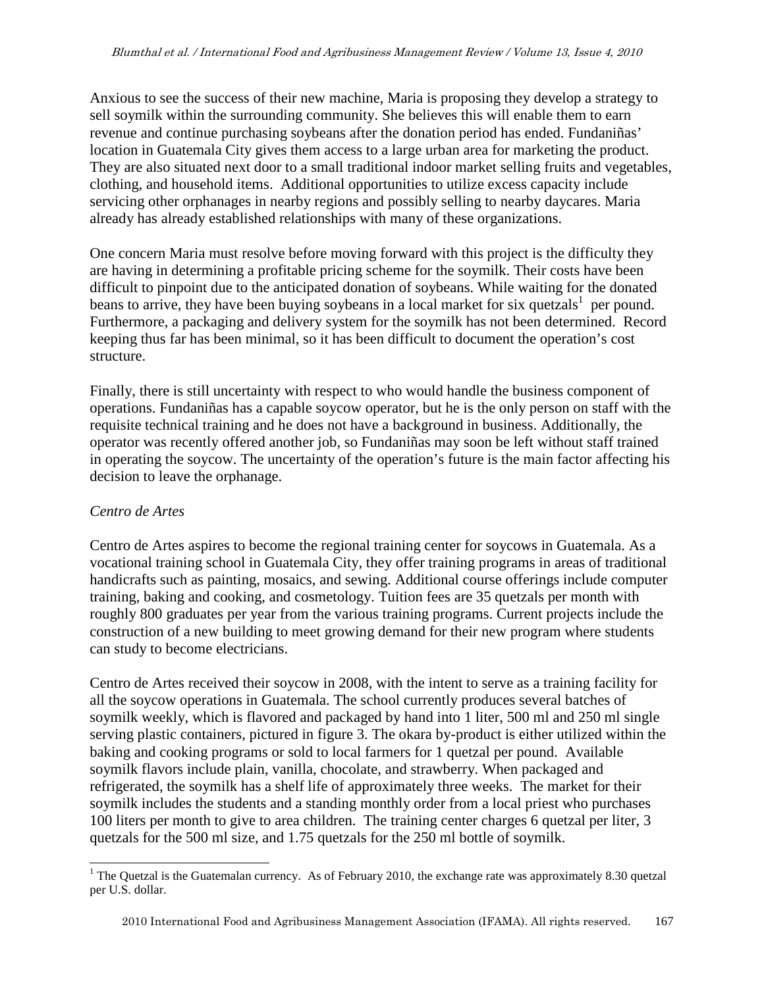Anxious to see the success of their new machine, Maria is proposing they develop a strategy to sell soymilk within the surrounding community. She believes this will enable them to earn revenue and continue purchasing soybeans after the donation period has ended. Fundaniñas' location in Guatemala City gives them access to a large urban area for marketing the product. They are also situated next door to a small traditional indoor market selling fruits and vegetables, clothing, and household items. Additional opportunities to utilize excess capacity include servicing other orphanages in nearby regions and possibly selling to nearby daycares. Maria already has already established relationships with many of these organizations.

One concern Maria must resolve before moving forward with this project is the difficulty they are having in determining a profitable pricing scheme for the soymilk. Their costs have been difficult to pinpoint due to the anticipated donation of soybeans. While waiting for the donated beans to arrive, they have been buying soybeans in a local market for six quetzals<sup>1</sup> per pound. Furthermore, a packaging and delivery system for the soymilk has not been determined. Record keeping thus far has been minimal, so it has been difficult to document the operation's cost structure.

Finally, there is still uncertainty with respect to who would handle the business component of operations. Fundaniñas has a capable soycow operator, but he is the only person on staff with the requisite technical training and he does not have a background in business. Additionally, the operator was recently offered another job, so Fundaniñas may soon be left without staff trained in operating the soycow. The uncertainty of the operation's future is the main factor affecting his decision to leave the orphanage.

### *Centro de Artes*

Centro de Artes aspires to become the regional training center for soycows in Guatemala. As a vocational training school in Guatemala City, they offer training programs in areas of traditional handicrafts such as painting, mosaics, and sewing. Additional course offerings include computer training, baking and cooking, and cosmetology. Tuition fees are 35 quetzals per month with roughly 800 graduates per year from the various training programs. Current projects include the construction of a new building to meet growing demand for their new program where students can study to become electricians.

Centro de Artes received their soycow in 2008, with the intent to serve as a training facility for all the soycow operations in Guatemala. The school currently produces several batches of soymilk weekly, which is flavored and packaged by hand into 1 liter, 500 ml and 250 ml single serving plastic containers, pictured in figure 3. The okara by-product is either utilized within the baking and cooking programs or sold to local farmers for 1 quetzal per pound. Available soymilk flavors include plain, vanilla, chocolate, and strawberry. When packaged and refrigerated, the soymilk has a shelf life of approximately three weeks. The market for their soymilk includes the students and a standing monthly order from a local priest who purchases 100 liters per month to give to area children. The training center charges 6 quetzal per liter, 3 quetzals for the 500 ml size, and 1.75 quetzals for the 250 ml bottle of soymilk.

<sup>&</sup>lt;sup>1</sup> The Quetzal is the Guatemalan currency. As of February 2010, the exchange rate was approximately 8.30 quetzal per U.S. dollar.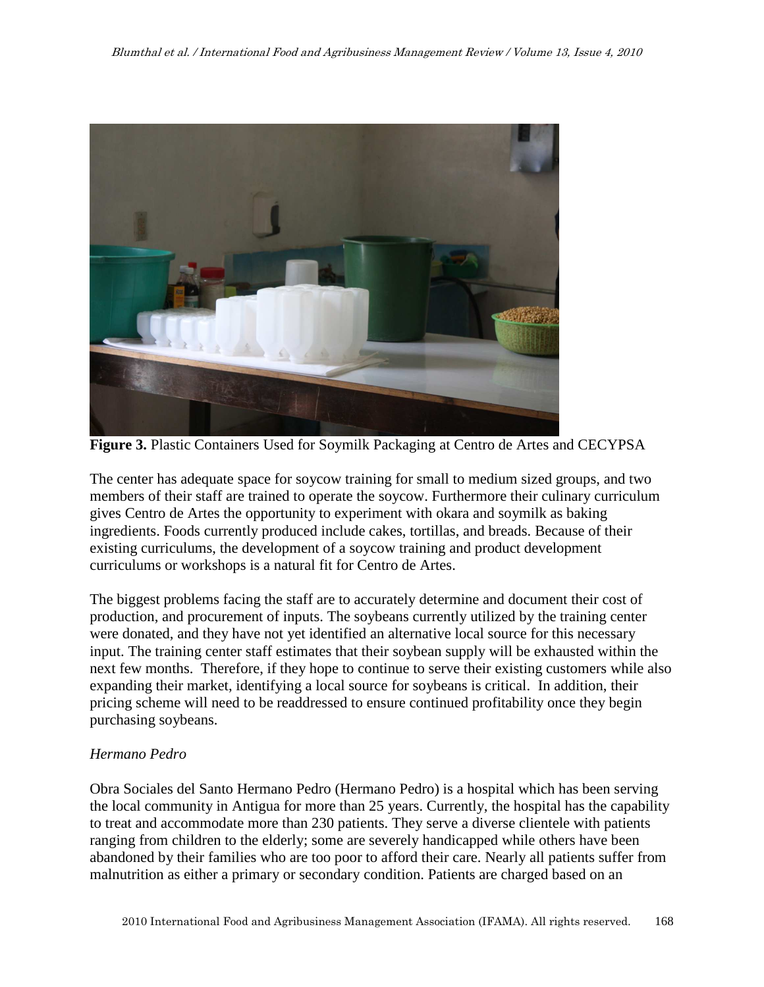

**Figure 3.** Plastic Containers Used for Soymilk Packaging at Centro de Artes and CECYPSA

The center has adequate space for soycow training for small to medium sized groups, and two members of their staff are trained to operate the soycow. Furthermore their culinary curriculum gives Centro de Artes the opportunity to experiment with okara and soymilk as baking ingredients. Foods currently produced include cakes, tortillas, and breads. Because of their existing curriculums, the development of a soycow training and product development curriculums or workshops is a natural fit for Centro de Artes.

The biggest problems facing the staff are to accurately determine and document their cost of production, and procurement of inputs. The soybeans currently utilized by the training center were donated, and they have not yet identified an alternative local source for this necessary input. The training center staff estimates that their soybean supply will be exhausted within the next few months. Therefore, if they hope to continue to serve their existing customers while also expanding their market, identifying a local source for soybeans is critical. In addition, their pricing scheme will need to be readdressed to ensure continued profitability once they begin purchasing soybeans.

### *Hermano Pedro*

Obra Sociales del Santo Hermano Pedro (Hermano Pedro) is a hospital which has been serving the local community in Antigua for more than 25 years. Currently, the hospital has the capability to treat and accommodate more than 230 patients. They serve a diverse clientele with patients ranging from children to the elderly; some are severely handicapped while others have been abandoned by their families who are too poor to afford their care. Nearly all patients suffer from malnutrition as either a primary or secondary condition. Patients are charged based on an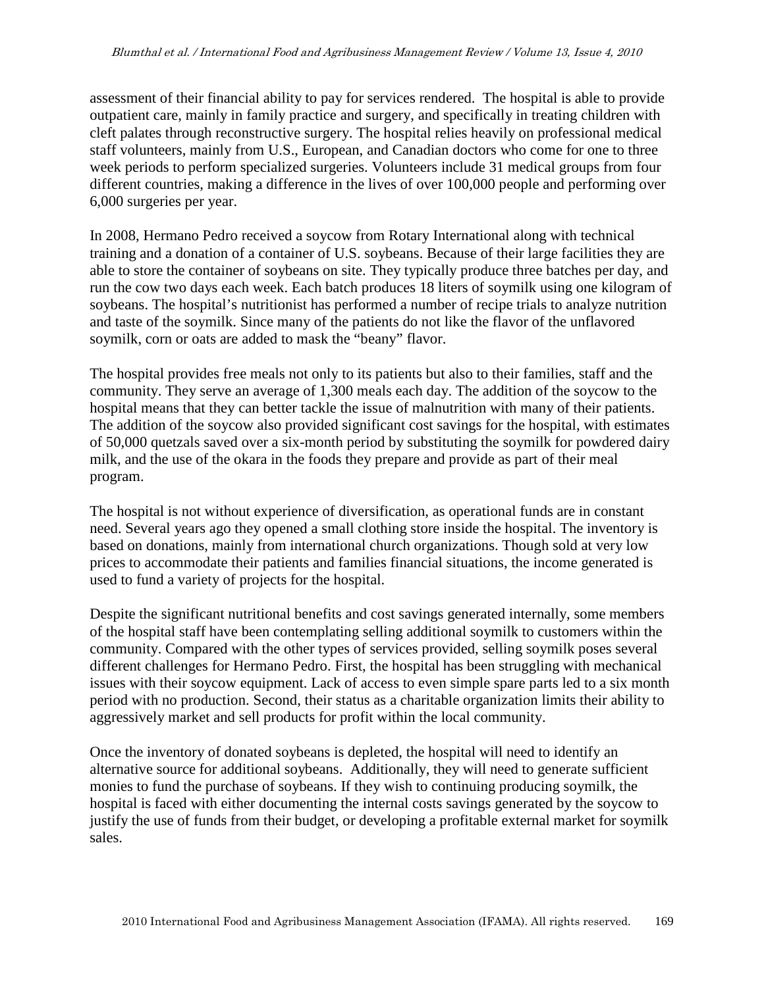assessment of their financial ability to pay for services rendered. The hospital is able to provide outpatient care, mainly in family practice and surgery, and specifically in treating children with cleft palates through reconstructive surgery. The hospital relies heavily on professional medical staff volunteers, mainly from U.S., European, and Canadian doctors who come for one to three week periods to perform specialized surgeries. Volunteers include 31 medical groups from four different countries, making a difference in the lives of over 100,000 people and performing over 6,000 surgeries per year.

In 2008, Hermano Pedro received a soycow from Rotary International along with technical training and a donation of a container of U.S. soybeans. Because of their large facilities they are able to store the container of soybeans on site. They typically produce three batches per day, and run the cow two days each week. Each batch produces 18 liters of soymilk using one kilogram of soybeans. The hospital's nutritionist has performed a number of recipe trials to analyze nutrition and taste of the soymilk. Since many of the patients do not like the flavor of the unflavored soymilk, corn or oats are added to mask the "beany" flavor.

The hospital provides free meals not only to its patients but also to their families, staff and the community. They serve an average of 1,300 meals each day. The addition of the soycow to the hospital means that they can better tackle the issue of malnutrition with many of their patients. The addition of the soycow also provided significant cost savings for the hospital, with estimates of 50,000 quetzals saved over a six-month period by substituting the soymilk for powdered dairy milk, and the use of the okara in the foods they prepare and provide as part of their meal program.

The hospital is not without experience of diversification, as operational funds are in constant need. Several years ago they opened a small clothing store inside the hospital. The inventory is based on donations, mainly from international church organizations. Though sold at very low prices to accommodate their patients and families financial situations, the income generated is used to fund a variety of projects for the hospital.

Despite the significant nutritional benefits and cost savings generated internally, some members of the hospital staff have been contemplating selling additional soymilk to customers within the community. Compared with the other types of services provided, selling soymilk poses several different challenges for Hermano Pedro. First, the hospital has been struggling with mechanical issues with their soycow equipment. Lack of access to even simple spare parts led to a six month period with no production. Second, their status as a charitable organization limits their ability to aggressively market and sell products for profit within the local community.

Once the inventory of donated soybeans is depleted, the hospital will need to identify an alternative source for additional soybeans. Additionally, they will need to generate sufficient monies to fund the purchase of soybeans. If they wish to continuing producing soymilk, the hospital is faced with either documenting the internal costs savings generated by the soycow to justify the use of funds from their budget, or developing a profitable external market for soymilk sales.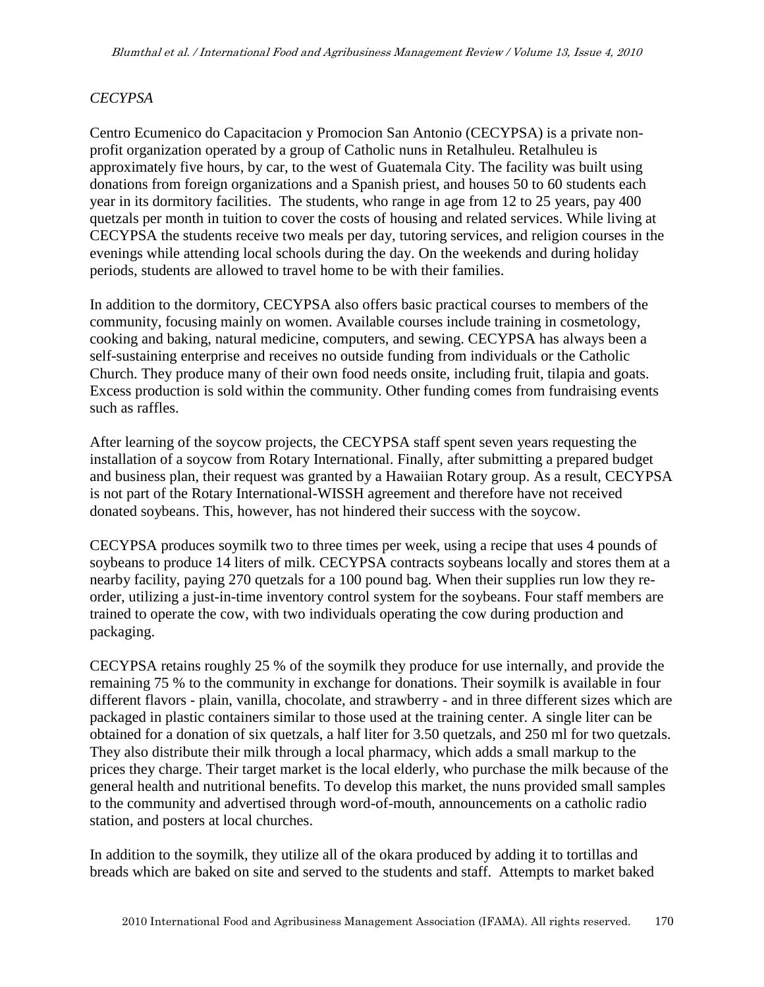#### *CECYPSA*

Centro Ecumenico do Capacitacion y Promocion San Antonio (CECYPSA) is a private nonprofit organization operated by a group of Catholic nuns in Retalhuleu. Retalhuleu is approximately five hours, by car, to the west of Guatemala City. The facility was built using donations from foreign organizations and a Spanish priest, and houses 50 to 60 students each year in its dormitory facilities. The students, who range in age from 12 to 25 years, pay 400 quetzals per month in tuition to cover the costs of housing and related services. While living at CECYPSA the students receive two meals per day, tutoring services, and religion courses in the evenings while attending local schools during the day. On the weekends and during holiday periods, students are allowed to travel home to be with their families.

In addition to the dormitory, CECYPSA also offers basic practical courses to members of the community, focusing mainly on women. Available courses include training in cosmetology, cooking and baking, natural medicine, computers, and sewing. CECYPSA has always been a self-sustaining enterprise and receives no outside funding from individuals or the Catholic Church. They produce many of their own food needs onsite, including fruit, tilapia and goats. Excess production is sold within the community. Other funding comes from fundraising events such as raffles.

After learning of the soycow projects, the CECYPSA staff spent seven years requesting the installation of a soycow from Rotary International. Finally, after submitting a prepared budget and business plan, their request was granted by a Hawaiian Rotary group. As a result, CECYPSA is not part of the Rotary International-WISSH agreement and therefore have not received donated soybeans. This, however, has not hindered their success with the soycow.

CECYPSA produces soymilk two to three times per week, using a recipe that uses 4 pounds of soybeans to produce 14 liters of milk. CECYPSA contracts soybeans locally and stores them at a nearby facility, paying 270 quetzals for a 100 pound bag. When their supplies run low they reorder, utilizing a just-in-time inventory control system for the soybeans. Four staff members are trained to operate the cow, with two individuals operating the cow during production and packaging.

CECYPSA retains roughly 25 % of the soymilk they produce for use internally, and provide the remaining 75 % to the community in exchange for donations. Their soymilk is available in four different flavors - plain, vanilla, chocolate, and strawberry - and in three different sizes which are packaged in plastic containers similar to those used at the training center. A single liter can be obtained for a donation of six quetzals, a half liter for 3.50 quetzals, and 250 ml for two quetzals. They also distribute their milk through a local pharmacy, which adds a small markup to the prices they charge. Their target market is the local elderly, who purchase the milk because of the general health and nutritional benefits. To develop this market, the nuns provided small samples to the community and advertised through word-of-mouth, announcements on a catholic radio station, and posters at local churches.

In addition to the soymilk, they utilize all of the okara produced by adding it to tortillas and breads which are baked on site and served to the students and staff. Attempts to market baked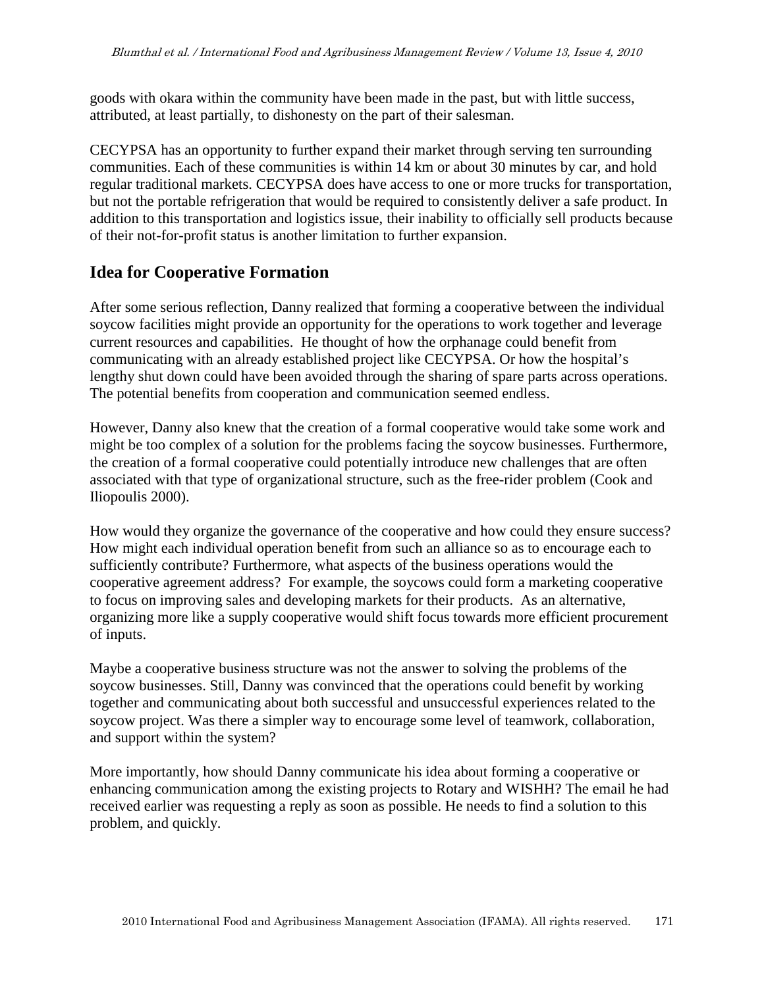goods with okara within the community have been made in the past, but with little success, attributed, at least partially, to dishonesty on the part of their salesman.

CECYPSA has an opportunity to further expand their market through serving ten surrounding communities. Each of these communities is within 14 km or about 30 minutes by car, and hold regular traditional markets. CECYPSA does have access to one or more trucks for transportation, but not the portable refrigeration that would be required to consistently deliver a safe product. In addition to this transportation and logistics issue, their inability to officially sell products because of their not-for-profit status is another limitation to further expansion.

### **Idea for Cooperative Formation**

After some serious reflection, Danny realized that forming a cooperative between the individual soycow facilities might provide an opportunity for the operations to work together and leverage current resources and capabilities. He thought of how the orphanage could benefit from communicating with an already established project like CECYPSA. Or how the hospital's lengthy shut down could have been avoided through the sharing of spare parts across operations. The potential benefits from cooperation and communication seemed endless.

However, Danny also knew that the creation of a formal cooperative would take some work and might be too complex of a solution for the problems facing the soycow businesses. Furthermore, the creation of a formal cooperative could potentially introduce new challenges that are often associated with that type of organizational structure, such as the free-rider problem (Cook and Iliopoulis 2000).

How would they organize the governance of the cooperative and how could they ensure success? How might each individual operation benefit from such an alliance so as to encourage each to sufficiently contribute? Furthermore, what aspects of the business operations would the cooperative agreement address? For example, the soycows could form a marketing cooperative to focus on improving sales and developing markets for their products. As an alternative, organizing more like a supply cooperative would shift focus towards more efficient procurement of inputs.

Maybe a cooperative business structure was not the answer to solving the problems of the soycow businesses. Still, Danny was convinced that the operations could benefit by working together and communicating about both successful and unsuccessful experiences related to the soycow project. Was there a simpler way to encourage some level of teamwork, collaboration, and support within the system?

More importantly, how should Danny communicate his idea about forming a cooperative or enhancing communication among the existing projects to Rotary and WISHH? The email he had received earlier was requesting a reply as soon as possible. He needs to find a solution to this problem, and quickly.